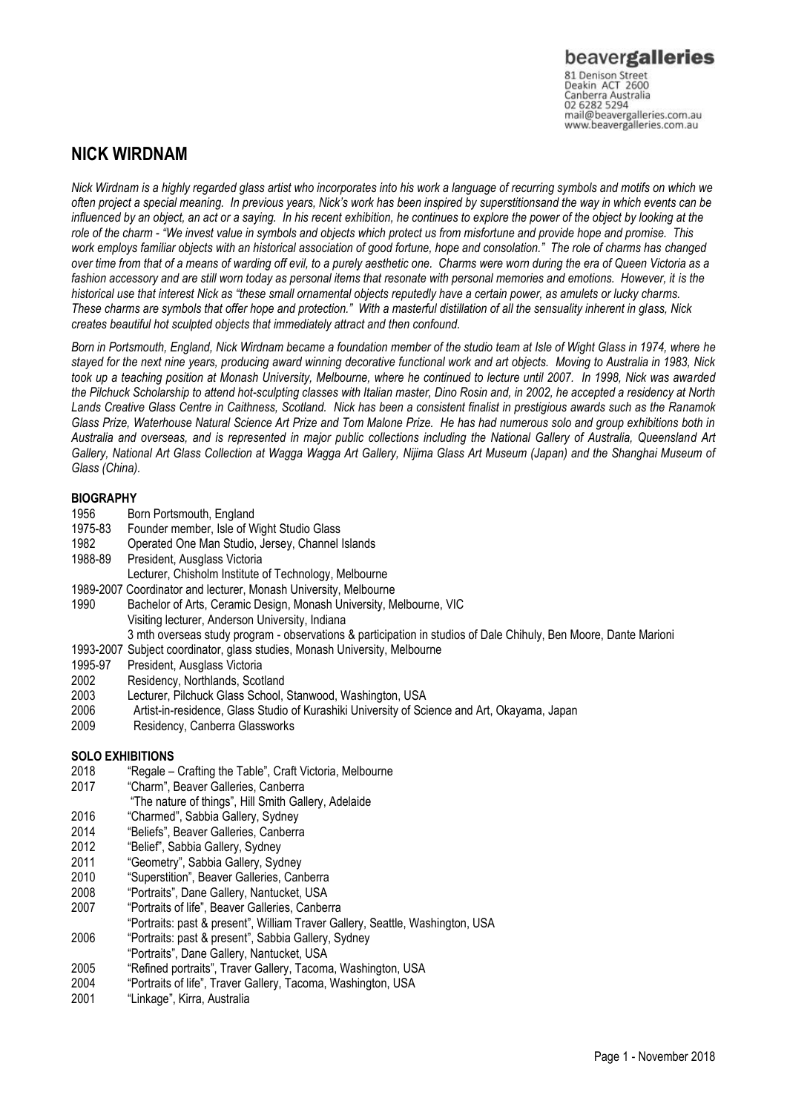Canberra Australia 02 6282 5294 mail@beavergalleries.com.au www.beavergalleries.com.au

### **NICK WIRDNAM**

*Nick Wirdnam is a highly regarded glass artist who incorporates into his work a language of recurring symbols and motifs on which we often project a special meaning. In previous years, Nick's work has been inspired by superstitionsand the way in which events can be influenced by an object, an act or a saying. In his recent exhibition, he continues to explore the power of the object by looking at the role of the charm - "We invest value in symbols and objects which protect us from misfortune and provide hope and promise. This work employs familiar objects with an historical association of good fortune, hope and consolation." The role of charms has changed over time from that of a means of warding off evil, to a purely aesthetic one. Charms were worn during the era of Queen Victoria as a*  fashion accessory and are still worn today as personal items that resonate with personal memories and emotions. However, it is the *historical use that interest Nick as "these small ornamental objects reputedly have a certain power, as amulets or lucky charms. These charms are symbols that offer hope and protection." With a masterful distillation of all the sensuality inherent in glass, Nick creates beautiful hot sculpted objects that immediately attract and then confound.* 

*Born in Portsmouth, England, Nick Wirdnam became a foundation member of the studio team at Isle of Wight Glass in 1974, where he stayed for the next nine years, producing award winning decorative functional work and art objects. Moving to Australia in 1983, Nick took up a teaching position at Monash University, Melbourne, where he continued to lecture until 2007. In 1998, Nick was awarded the Pilchuck Scholarship to attend hot-sculpting classes with Italian master, Dino Rosin and, in 2002, he accepted a residency at North Lands Creative Glass Centre in Caithness, Scotland. Nick has been a consistent finalist in prestigious awards such as the Ranamok Glass Prize, Waterhouse Natural Science Art Prize and Tom Malone Prize. He has had numerous solo and group exhibitions both in Australia and overseas, and is represented in major public collections including the National Gallery of Australia, Queensland Art Gallery, National Art Glass Collection at Wagga Wagga Art Gallery, Nijima Glass Art Museum (Japan) and the Shanghai Museum of Glass (China).*

# **BIOGRAPHY**<br>1956 Bo

- Born Portsmouth, England
- 1975-83 Founder member, Isle of Wight Studio Glass
- 1982 Operated One Man Studio, Jersey, Channel Islands
- 1988-89 President, Ausglass Victoria
- Lecturer, Chisholm Institute of Technology, Melbourne
- 1989-2007 Coordinator and lecturer, Monash University, Melbourne
- 1990 Bachelor of Arts, Ceramic Design, Monash University, Melbourne, VIC Visiting lecturer, Anderson University, Indiana 3 mth overseas study program - observations & participation in studios of Dale Chihuly, Ben Moore, Dante Marioni
- 1993-2007 Subject coordinator, glass studies, Monash University, Melbourne
- 
- 1995-97 President, Ausglass Victoria<br>2002 Residency, Northlands, Scot
- 2002 Residency, Northlands, Scotland<br>2003 Lecturer, Pilchuck Glass School, Lecturer, Pilchuck Glass School, Stanwood, Washington, USA
- 2006 Artist-in-residence, Glass Studio of Kurashiki University of Science and Art, Okayama, Japan
- 2009 Residency, Canberra Glassworks

#### **SOLO EXHIBITIONS**

- 2018 "Regale Crafting the Table", Craft Victoria, Melbourne
- 2017 "Charm", Beaver Galleries, Canberra
- "The nature of things", Hill Smith Gallery, Adelaide
- 2016 "Charmed", Sabbia Gallery, Sydney<br>2014 "Beliefs", Beaver Galleries, Canberra
- 2014 "Beliefs", Beaver Galleries, Canberra
- "Belief", Sabbia Gallery, Sydney
- 2011 "Geometry", Sabbia Gallery, Sydney
- 2010 "Superstition", Beaver Galleries, Canberra
- 2008 "Portraits", Dane Gallery, Nantucket, USA
- 2007 "Portraits of life", Beaver Galleries, Canberra
- "Portraits: past & present", William Traver Gallery, Seattle, Washington, USA
- 2006 "Portraits: past & present", Sabbia Gallery, Sydney
- "Portraits", Dane Gallery, Nantucket, USA
- 2005 "Refined portraits", Traver Gallery, Tacoma, Washington, USA
- 2004 "Portraits of life", Traver Gallery, Tacoma, Washington, USA
- 2001 "Linkage", Kirra, Australia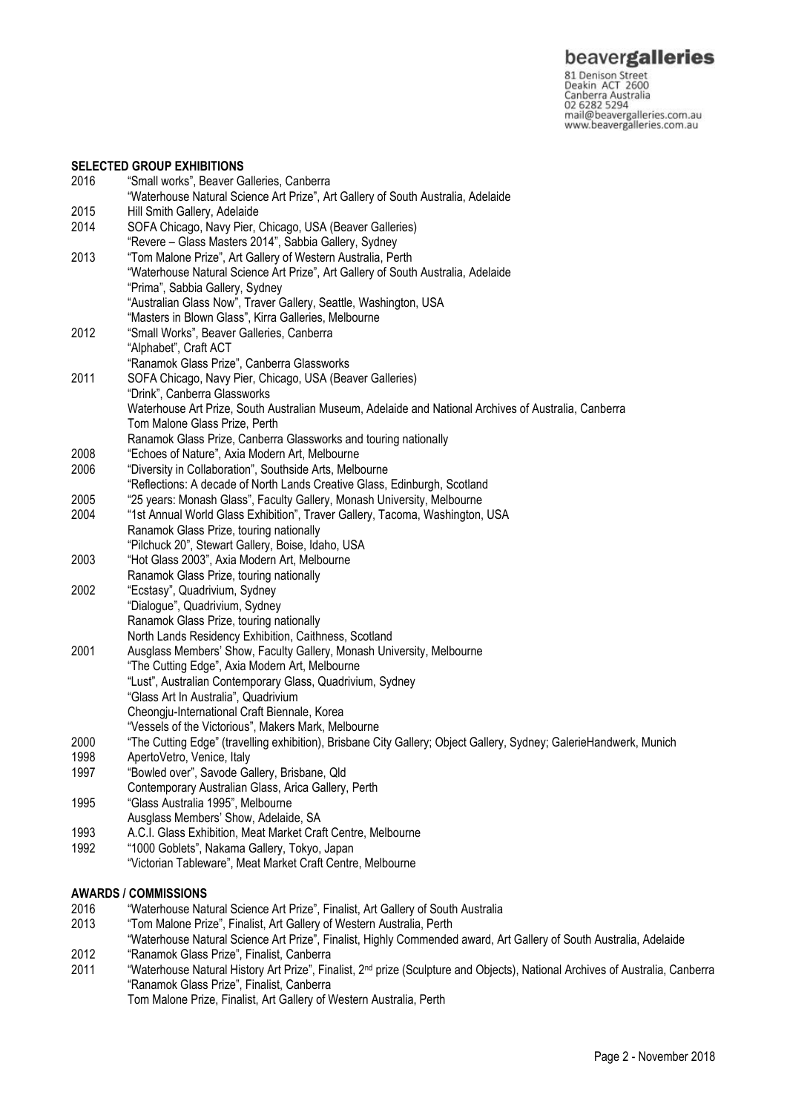81 Denison Street<br>Deakin ACT 2600 Canberra Australia 02 6282 5294 mail@beavergalleries.com.au www.beavergalleries.com.au

#### **SELECTED GROUP EXHIBITIONS** 2016 "Small works", Beaver Galleries, Canberra "Waterhouse Natural Science Art Prize", Art Gallery of South Australia, Adelaide 2015 Hill Smith Gallery, Adelaide 2014 SOFA Chicago, Navy Pier, Chicago, USA (Beaver Galleries) "Revere – Glass Masters 2014", Sabbia Gallery, Sydney 2013 "Tom Malone Prize", Art Gallery of Western Australia, Perth "Waterhouse Natural Science Art Prize", Art Gallery of South Australia, Adelaide "Prima", Sabbia Gallery, Sydney "Australian Glass Now", Traver Gallery, Seattle, Washington, USA "Masters in Blown Glass", Kirra Galleries, Melbourne 2012 "Small Works", Beaver Galleries, Canberra "Alphabet", Craft ACT "Ranamok Glass Prize", Canberra Glassworks 2011 SOFA Chicago, Navy Pier, Chicago, USA (Beaver Galleries) "Drink", Canberra Glassworks Waterhouse Art Prize, South Australian Museum, Adelaide and National Archives of Australia, Canberra Tom Malone Glass Prize, Perth Ranamok Glass Prize, Canberra Glassworks and touring nationally 2008 "Echoes of Nature", Axia Modern Art, Melbourne 2006 "Diversity in Collaboration", Southside Arts, Melbourne "Reflections: A decade of North Lands Creative Glass, Edinburgh, Scotland 2005 "25 years: Monash Glass", Faculty Gallery, Monash University, Melbourne 2004 "1st Annual World Glass Exhibition", Traver Gallery, Tacoma, Washington, USA Ranamok Glass Prize, touring nationally "Pilchuck 20", Stewart Gallery, Boise, Idaho, USA 2003 "Hot Glass 2003", Axia Modern Art, Melbourne Ranamok Glass Prize, touring nationally 2002 "Ecstasy", Quadrivium, Sydney "Dialogue", Quadrivium, Sydney Ranamok Glass Prize, touring nationally North Lands Residency Exhibition, Caithness, Scotland 2001 Ausglass Members' Show, Faculty Gallery, Monash University, Melbourne "The Cutting Edge", Axia Modern Art, Melbourne "Lust", Australian Contemporary Glass, Quadrivium, Sydney "Glass Art In Australia", Quadrivium Cheongju-International Craft Biennale, Korea "Vessels of the Victorious", Makers Mark, Melbourne 2000 "The Cutting Edge" (travelling exhibition), Brisbane City Gallery; Object Gallery, Sydney; GalerieHandwerk, Munich 1998 ApertoVetro, Venice, Italy<br>1997 Flowled over" Savode Ga "Bowled over", Savode Gallery, Brisbane, Qld Contemporary Australian Glass, Arica Gallery, Perth 1995 "Glass Australia 1995", Melbourne Ausglass Members' Show, Adelaide, SA 1993 A.C.I. Glass Exhibition, Meat Market Craft Centre, Melbourne 1992 "1000 Goblets", Nakama Gallery, Tokyo, Japan "Victorian Tableware", Meat Market Craft Centre, Melbourne **AWARDS / COMMISSIONS** 2016 "Waterhouse Natural Science Art Prize", Finalist, Art Gallery of South Australia

- 2013 "Tom Malone Prize", Finalist, Art Gallery of Western Australia, Perth
- "Waterhouse Natural Science Art Prize", Finalist, Highly Commended award, Art Gallery of South Australia, Adelaide
- 2012 "Ranamok Glass Prize", Finalist, Canberra
- 2011 "Waterhouse Natural History Art Prize", Finalist, 2nd prize (Sculpture and Objects), National Archives of Australia, Canberra "Ranamok Glass Prize", Finalist, Canberra

Tom Malone Prize, Finalist, Art Gallery of Western Australia, Perth